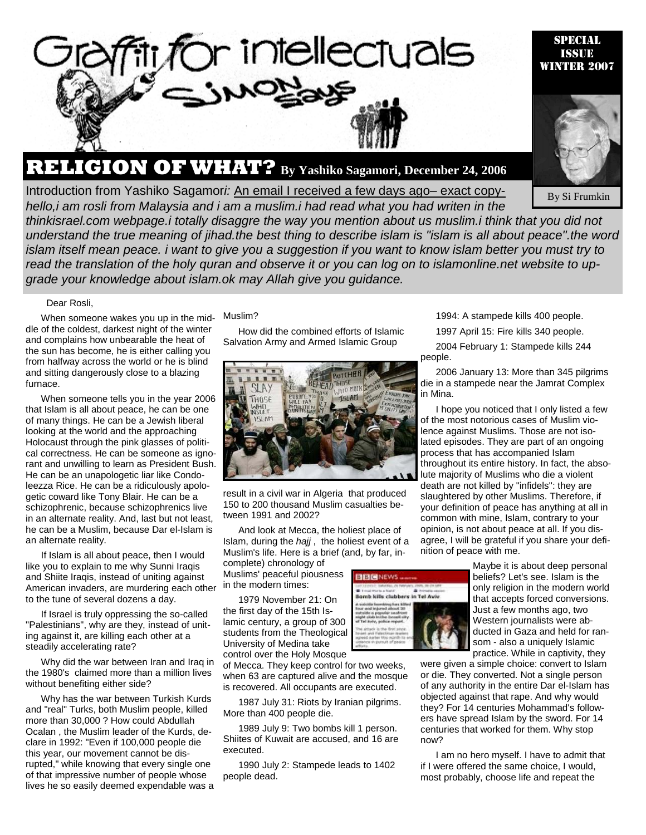

# **RELIGION OF WHAT? By Yashiko Sagamori, December 24, 2006**

**Introduction from Yashiko Sagamori: An email I received a few days ago– exact copy-**



Special Issue

By Si Frumkin

*hello,i am rosli from Malaysia and i am a muslim.i had read what you had writen in the thinkisrael.com webpage.i totally disaggre the way you mention about us muslim.i think that you did not understand the true meaning of jihad.the best thing to describe islam is "islam is all about peace".the word islam itself mean peace. i want to give you a suggestion if you want to know islam better you must try to read the translation of the holy quran and observe it or you can log on to islamonline.net website to upgrade your knowledge about islam.ok may Allah give you guidance.* 

#### Dear Rosli,

When someone wakes you up in the middle of the coldest, darkest night of the winter and complains how unbearable the heat of the sun has become, he is either calling you from halfway across the world or he is blind and sitting dangerously close to a blazing furnace.

When someone tells you in the year 2006 that Islam is all about peace, he can be one of many things. He can be a Jewish liberal looking at the world and the approaching Holocaust through the pink glasses of political correctness. He can be someone as ignorant and unwilling to learn as President Bush. He can be an unapologetic liar like Condoleezza Rice. He can be a ridiculously apologetic coward like Tony Blair. He can be a schizophrenic, because schizophrenics live in an alternate reality. And, last but not least, he can be a Muslim, because Dar el-Islam is an alternate reality.

If Islam is all about peace, then I would like you to explain to me why Sunni Iraqis and Shiite Iraqis, instead of uniting against American invaders, are murdering each other to the tune of several dozens a day.

If Israel is truly oppressing the so-called "Palestinians", why are they, instead of uniting against it, are killing each other at a steadily accelerating rate?

Why did the war between Iran and Iraq in the 1980's claimed more than a million lives without benefiting either side?

Why has the war between Turkish Kurds and "real" Turks, both Muslim people, killed more than 30,000 ? How could Abdullah Ocalan , the Muslim leader of the Kurds, declare in 1992: "Even if 100,000 people die this year, our movement cannot be disrupted," while knowing that every single one of that impressive number of people whose lives he so easily deemed expendable was a

### Muslim?

How did the combined efforts of Islamic Salvation Army and Armed Islamic Group



result in a civil war in Algeria that produced 150 to 200 thousand Muslim casualties between 1991 and 2002?

And look at Mecca, the holiest place of Islam, during the *hajj* , the holiest event of a Muslim's life. Here is a brief (and, by far, in-

complete) chronology of Muslims' peaceful piousness in the modern times:

1979 November 21: On the first day of the 15th Islamic century, a group of 300 students from the Theological University of Medina take control over the Holy Mosque

of Mecca. They keep control for two weeks, when 63 are captured alive and the mosque is recovered. All occupants are executed.

1987 July 31: Riots by Iranian pilgrims. More than 400 people die.

1989 July 9: Two bombs kill 1 person. Shiites of Kuwait are accused, and 16 are executed.

1990 July 2: Stampede leads to 1402 people dead.



1994: A stampede kills 400 people.

1997 April 15: Fire kills 340 people.

2004 February 1: Stampede kills 244 people.

2006 January 13: More than 345 pilgrims die in a stampede near the Jamrat Complex in Mina.

I hope you noticed that I only listed a few of the most notorious cases of Muslim violence against Muslims. Those are not isolated episodes. They are part of an ongoing process that has accompanied Islam throughout its entire history. In fact, the absolute majority of Muslims who die a violent death are not killed by "infidels": they are slaughtered by other Muslims. Therefore, if your definition of peace has anything at all in common with mine, Islam, contrary to your opinion, is not about peace at all. If you disagree, I will be grateful if you share your definition of peace with me.

> Maybe it is about deep personal beliefs? Let's see. Islam is the only religion in the modern world that accepts forced conversions. Just a few months ago, two Western journalists were abducted in Gaza and held for ransom - also a uniquely Islamic practice. While in captivity, they

were given a simple choice: convert to Islam or die. They converted. Not a single person of any authority in the entire Dar el-Islam has objected against that rape. And why would they? For 14 centuries Mohammad's followers have spread Islam by the sword. For 14 centuries that worked for them. Why stop now?

I am no hero myself. I have to admit that if I were offered the same choice, I would, most probably, choose life and repeat the

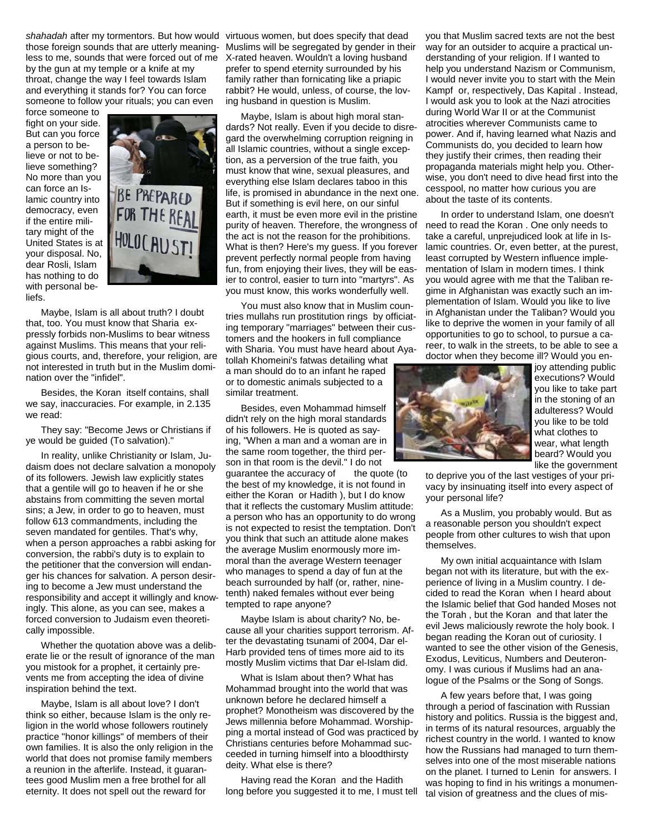*shahadah* after my tormentors. But how would virtuous women, but does specify that dead those foreign sounds that are utterly meaning-Muslims will be segregated by gender in their less to me, sounds that were forced out of me X-rated heaven. Wouldn't a loving husband by the gun at my temple or a knife at my throat, change the way I feel towards Islam and everything it stands for? You can force someone to follow your rituals; you can even

force someone to fight on your side. But can you force a person to believe or not to believe something? No more than you can force an Islamic country into democracy, even if the entire military might of the United States is at your disposal. No, dear Rosli, Islam has nothing to do with personal beliefs.



Maybe, Islam is all about truth? I doubt that, too. You must know that Sharia expressly forbids non-Muslims to bear witness against Muslims. This means that your religious courts, and, therefore, your religion, are not interested in truth but in the Muslim domination over the "infidel".

Besides, the Koran itself contains, shall we say, inaccuracies. For example, in 2.135 we read:

They say: "Become Jews or Christians if ye would be guided (To salvation)."

In reality, unlike Christianity or Islam, Judaism does not declare salvation a monopoly of its followers. Jewish law explicitly states that a gentile will go to heaven if he or she abstains from committing the seven mortal sins; a Jew, in order to go to heaven, must follow 613 commandments, including the seven mandated for gentiles. That's why, when a person approaches a rabbi asking for conversion, the rabbi's duty is to explain to the petitioner that the conversion will endanger his chances for salvation. A person desiring to become a Jew must understand the responsibility and accept it willingly and knowingly. This alone, as you can see, makes a forced conversion to Judaism even theoretically impossible.

Whether the quotation above was a deliberate lie or the result of ignorance of the man you mistook for a prophet, it certainly prevents me from accepting the idea of divine inspiration behind the text.

Maybe, Islam is all about love? I don't think so either, because Islam is the only religion in the world whose followers routinely practice "honor killings" of members of their own families. It is also the only religion in the world that does not promise family members a reunion in the afterlife. Instead, it guarantees good Muslim men a free brothel for all eternity. It does not spell out the reward for

prefer to spend eternity surrounded by his family rather than fornicating like a priapic rabbit? He would, unless, of course, the loving husband in question is Muslim.

Maybe, Islam is about high moral standards? Not really. Even if you decide to disregard the overwhelming corruption reigning in all Islamic countries, without a single exception, as a perversion of the true faith, you must know that wine, sexual pleasures, and everything else Islam declares taboo in this life, is promised in abundance in the next one. But if something is evil here, on our sinful earth, it must be even more evil in the pristine purity of heaven. Therefore, the wrongness of the act is not the reason for the prohibitions. What is then? Here's my guess. If you forever prevent perfectly normal people from having fun, from enjoying their lives, they will be easier to control, easier to turn into "martyrs". As you must know, this works wonderfully well.

You must also know that in Muslim countries mullahs run prostitution rings by officiating temporary "marriages" between their customers and the hookers in full compliance with Sharia. You must have heard about Ayatollah Khomeini's fatwas detailing what

a man should do to an infant he raped or to domestic animals subjected to a similar treatment.

Besides, even Mohammad himself didn't rely on the high moral standards of his followers. He is quoted as saying, "When a man and a woman are in the same room together, the third person in that room is the devil." I do not

guarantee the accuracy of the quote (to the best of my knowledge, it is not found in either the Koran or Hadith ), but I do know that it reflects the customary Muslim attitude: a person who has an opportunity to do wrong is not expected to resist the temptation. Don't you think that such an attitude alone makes the average Muslim enormously more immoral than the average Western teenager who manages to spend a day of fun at the beach surrounded by half (or, rather, ninetenth) naked females without ever being tempted to rape anyone?

Maybe Islam is about charity? No, because all your charities support terrorism. After the devastating tsunami of 2004, Dar el-Harb provided tens of times more aid to its mostly Muslim victims that Dar el-Islam did.

What is Islam about then? What has Mohammad brought into the world that was unknown before he declared himself a prophet? Monotheism was discovered by the Jews millennia before Mohammad. Worshipping a mortal instead of God was practiced by Christians centuries before Mohammad succeeded in turning himself into a bloodthirsty deity. What else is there?

Having read the Koran and the Hadith long before you suggested it to me, I must tell

you that Muslim sacred texts are not the best way for an outsider to acquire a practical understanding of your religion. If I wanted to help you understand Nazism or Communism, I would never invite you to start with the Mein Kampf or, respectively, Das Kapital . Instead, I would ask you to look at the Nazi atrocities during World War II or at the Communist atrocities wherever Communists came to power. And if, having learned what Nazis and Communists do, you decided to learn how they justify their crimes, then reading their propaganda materials might help you. Otherwise, you don't need to dive head first into the cesspool, no matter how curious you are about the taste of its contents.

In order to understand Islam, one doesn't need to read the Koran . One only needs to take a careful, unprejudiced look at life in Islamic countries. Or, even better, at the purest, least corrupted by Western influence implementation of Islam in modern times. I think you would agree with me that the Taliban regime in Afghanistan was exactly such an implementation of Islam. Would you like to live in Afghanistan under the Taliban? Would you like to deprive the women in your family of all opportunities to go to school, to pursue a career, to walk in the streets, to be able to see a doctor when they become ill? Would you en-



joy attending public executions? Would you like to take part in the stoning of an adulteress? Would you like to be told what clothes to wear, what length beard? Would you like the government

to deprive you of the last vestiges of your privacy by insinuating itself into every aspect of your personal life?

As a Muslim, you probably would. But as a reasonable person you shouldn't expect people from other cultures to wish that upon themselves.

My own initial acquaintance with Islam began not with its literature, but with the experience of living in a Muslim country. I decided to read the Koran when I heard about the Islamic belief that God handed Moses not the Torah , but the Koran and that later the evil Jews maliciously rewrote the holy book. I began reading the Koran out of curiosity. I wanted to see the other vision of the Genesis, Exodus, Leviticus, Numbers and Deuteronomy. I was curious if Muslims had an analogue of the Psalms or the Song of Songs.

A few years before that, I was going through a period of fascination with Russian history and politics. Russia is the biggest and, in terms of its natural resources, arguably the richest country in the world. I wanted to know how the Russians had managed to turn themselves into one of the most miserable nations on the planet. I turned to Lenin for answers. I was hoping to find in his writings a monumental vision of greatness and the clues of mis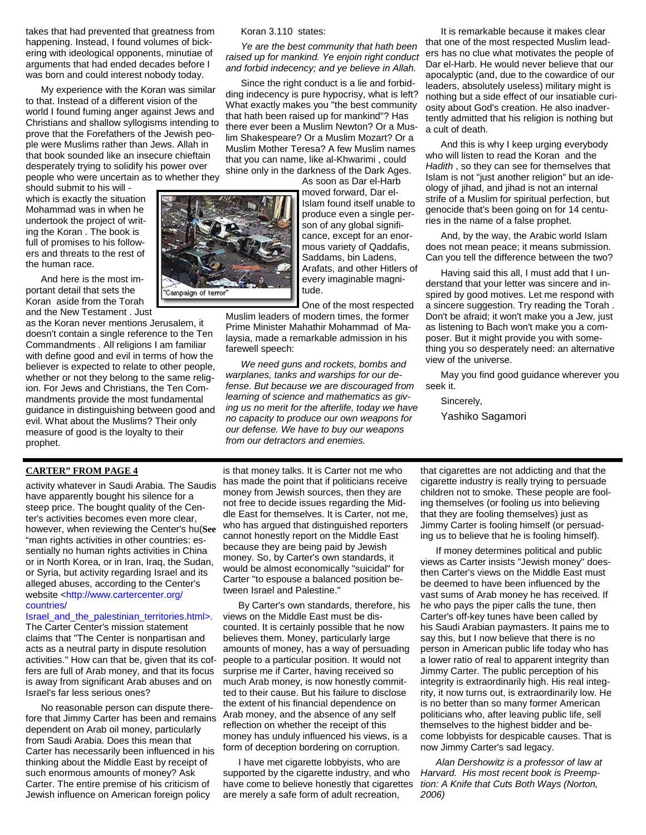takes that had prevented that greatness from happening. Instead, I found volumes of bickering with ideological opponents, minutiae of arguments that had ended decades before I was born and could interest nobody today.

My experience with the Koran was similar to that. Instead of a different vision of the world I found fuming anger against Jews and Christians and shallow syllogisms intending to prove that the Forefathers of the Jewish people were Muslims rather than Jews. Allah in that book sounded like an insecure chieftain desperately trying to solidify his power over people who were uncertain as to whether they

should submit to his will which is exactly the situation Mohammad was in when he undertook the project of writing the Koran . The book is full of promises to his followers and threats to the rest of the human race.

And here is the most important detail that sets the Koran aside from the Torah and the New Testament . Just

as the Koran never mentions Jerusalem, it doesn't contain a single reference to the Ten Commandments . All religions I am familiar with define good and evil in terms of how the believer is expected to relate to other people, whether or not they belong to the same religion. For Jews and Christians, the Ten Commandments provide the most fundamental guidance in distinguishing between good and evil. What about the Muslims? Their only measure of good is the loyalty to their prophet.

## **CARTER" FROM PAGE 4**

activity whatever in Saudi Arabia. The Saudis have apparently bought his silence for a steep price. The bought quality of the Center's activities becomes even more clear, however, when reviewing the Center's hu(**See**  "man rights activities in other countries: essentially no human rights activities in China or in North Korea, or in Iran, Iraq, the Sudan, or Syria, but activity regarding Israel and its alleged abuses, according to the Center's website <http://www.cartercenter.org/ countries/

#### Israel\_and\_the\_palestinian\_territories.html>.

The Carter Center's mission statement claims that "The Center is nonpartisan and acts as a neutral party in dispute resolution activities." How can that be, given that its coffers are full of Arab money, and that its focus is away from significant Arab abuses and on Israel's far less serious ones?

No reasonable person can dispute therefore that Jimmy Carter has been and remains dependent on Arab oil money, particularly from Saudi Arabia. Does this mean that Carter has necessarily been influenced in his thinking about the Middle East by receipt of such enormous amounts of money? Ask Carter. The entire premise of his criticism of Jewish influence on American foreign policy

Koran 3.110 states:

*Ye are the best community that hath been raised up for mankind. Ye enjoin right conduct and forbid indecency; and ye believe in Allah.* 

Since the right conduct is a lie and forbidding indecency is pure hypocrisy, what is left? What exactly makes you "the best community that hath been raised up for mankind"? Has there ever been a Muslim Newton? Or a Muslim Shakespeare? Or a Muslim Mozart? Or a Muslim Mother Teresa? A few Muslim names that you can name, like al-Khwarimi , could shine only in the darkness of the Dark Ages.

> As soon as Dar el-Harb moved forward, Dar el-Islam found itself unable to produce even a single person of any global significance, except for an enormous variety of Qaddafis, Saddams, bin Ladens, Arafats, and other Hitlers of every imaginable magnitude.

One of the most respected

Muslim leaders of modern times, the former Prime Minister Mahathir Mohammad of Malaysia, made a remarkable admission in his farewell speech:

*We need guns and rockets, bombs and warplanes, tanks and warships for our defense. But because we are discouraged from learning of science and mathematics as giving us no merit for the afterlife, today we have no capacity to produce our own weapons for our defense. We have to buy our weapons from our detractors and enemies.* 

is that money talks. It is Carter not me who has made the point that if politicians receive money from Jewish sources, then they are not free to decide issues regarding the Middle East for themselves. It is Carter, not me, who has argued that distinguished reporters cannot honestly report on the Middle East because they are being paid by Jewish money. So, by Carter's own standards, it would be almost economically "suicidal" for Carter "to espouse a balanced position between Israel and Palestine."

By Carter's own standards, therefore, his views on the Middle East must be discounted. It is certainly possible that he now believes them. Money, particularly large amounts of money, has a way of persuading people to a particular position. It would not surprise me if Carter, having received so much Arab money, is now honestly committed to their cause. But his failure to disclose the extent of his financial dependence on Arab money, and the absence of any self reflection on whether the receipt of this money has unduly influenced his views, is a form of deception bordering on corruption.

I have met cigarette lobbyists, who are supported by the cigarette industry, and who have come to believe honestly that cigarettes are merely a safe form of adult recreation,

It is remarkable because it makes clear that one of the most respected Muslim leaders has no clue what motivates the people of Dar el-Harb. He would never believe that our apocalyptic (and, due to the cowardice of our leaders, absolutely useless) military might is nothing but a side effect of our insatiable curiosity about God's creation. He also inadvertently admitted that his religion is nothing but a cult of death.

And this is why I keep urging everybody who will listen to read the Koran and the *Hadith* , so they can see for themselves that Islam is not "just another religion" but an ideology of jihad, and jihad is not an internal strife of a Muslim for spiritual perfection, but genocide that's been going on for 14 centuries in the name of a false prophet.

And, by the way, the Arabic world Islam does not mean peace; it means submission. Can you tell the difference between the two?

Having said this all, I must add that I understand that your letter was sincere and inspired by good motives. Let me respond with a sincere suggestion. Try reading the Torah . Don't be afraid; it won't make you a Jew, just as listening to Bach won't make you a composer. But it might provide you with something you so desperately need: an alternative view of the universe.

May you find good guidance wherever you seek it.

Sincerely,

Yashiko Sagamori

that cigarettes are not addicting and that the cigarette industry is really trying to persuade children not to smoke. These people are fooling themselves (or fooling us into believing that they are fooling themselves) just as Jimmy Carter is fooling himself (or persuading us to believe that he is fooling himself).

If money determines political and public views as Carter insists "Jewish money" doesthen Carter's views on the Middle East must be deemed to have been influenced by the vast sums of Arab money he has received. If he who pays the piper calls the tune, then Carter's off-key tunes have been called by his Saudi Arabian paymasters. It pains me to say this, but I now believe that there is no person in American public life today who has a lower ratio of real to apparent integrity than Jimmy Carter. The public perception of his integrity is extraordinarily high. His real integrity, it now turns out, is extraordinarily low. He is no better than so many former American politicians who, after leaving public life, sell themselves to the highest bidder and become lobbyists for despicable causes. That is now Jimmy Carter's sad legacy.

*Alan Dershowitz is a professor of law at Harvard. His most recent book is Preemption: A Knife that Cuts Both Ways (Norton, 2006)*